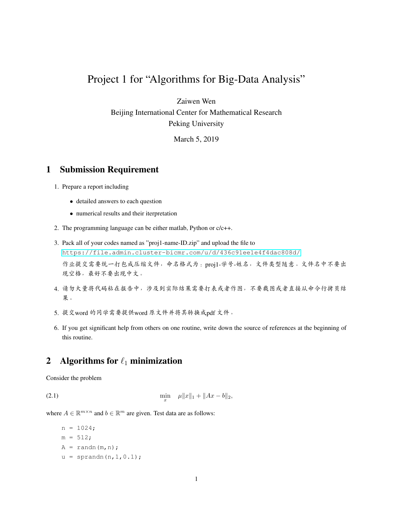## Project 1 for "Algorithms for Big-Data Analysis"

Zaiwen Wen

Beijing International Center for Mathematical Research Peking University

March 5, 2019

## 1 Submission Requirement

- 1. Prepare a report including
	- detailed answers to each question
	- numerical results and their iterpretation
- 2. The programming language can be either matlab, Python or c/c++.
- 3. Pack all of your codes named as "proj1-name-ID.zip" and upload the file to <https://file.admin.cluster-bicmr.com/u/d/436c91ee1e4f4dac808d/> <sup>作</sup>业提交需要统一打包成压缩文件,命名格式为:proj1-学号-姓名,文件类型随意。文件名中不要<sup>出</sup> 现空格,最好不要出现中文。
- 4. <sup>请</sup>勿大量将代码粘在报告中,涉及到实际结果需要打表或者作图,不要截图或者直接从命令行拷贝<sup>结</sup> 果。
- 5. <sup>提</sup>交word <sup>的</sup>同学需要提供word <sup>原</sup>文件并将其转换成pdf <sup>文</sup>件。
- 6. If you get significant help from others on one routine, write down the source of references at the beginning of this routine.

## 2 Algorithms for  $\ell_1$  minimization

<span id="page-0-0"></span>Consider the problem

 $(2.1)$  min  $\lim_{x} \quad \mu \|x\|_1 + \|Ax - b\|_2,$ 

where  $A \in \mathbb{R}^{m \times n}$  and  $b \in \mathbb{R}^m$  are given. Test data are as follows:

```
n = 1024;m = 512;A = \text{randn}(m,n);u = sprandn(n, 1, 0.1);
```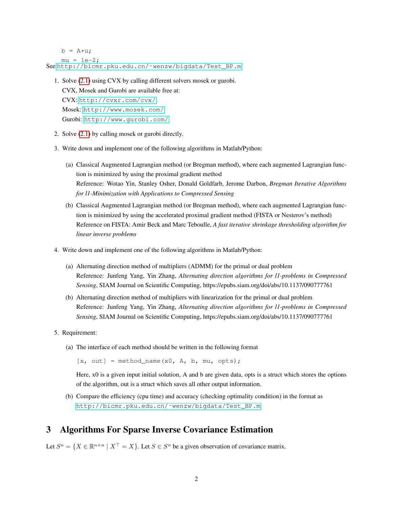$b = A * u;$  $mu = 1e-2;$ See [http://bicmr.pku.edu.cn/˜wenzw/bigdata/Test\\_BP.m](http://bicmr.pku.edu.cn/~wenzw/bigdata/Test_BP.m)

1. Solve [\(2.1\)](#page-0-0) using CVX by calling different solvers mosek or gurobi. CVX, Mosek and Gurobi are available free at:

CVX: <http://cvxr.com/cvx/> Mosek: [http://www.mosek.com/]( http://www.mosek.com/) Gurobi: <http://www.gurobi.com/>

- 2. Solve [\(2.1\)](#page-0-0) by calling mosek or gurobi directly.
- 3. Write down and implement one of the following algorithms in Matlab/Python:
	- (a) Classical Augmented Lagrangian method (or Bregman method), where each augmented Lagrangian function is minimized by using the proximal gradient method Reference: Wotao Yin, Stanley Osher, Donald Goldfarb, Jerome Darbon, *Bregman Iterative Algorithms for l1-Minimization with Applications to Compressed Sensing*
	- (b) Classical Augmented Lagrangian method (or Bregman method), where each augmented Lagrangian function is minimized by using the accelerated proximal gradient method (FISTA or Nesterov's method) Reference on FISTA: Amir Beck and Marc Teboulle, *A fast iterative shrinkage thresholding algorithm for linear inverse problems*
- 4. Write down and implement one of the following algorithms in Matlab/Python:
	- (a) Alternating direction method of multipliers (ADMM) for the primal or dual problem Reference: Junfeng Yang, Yin Zhang, *Alternating direction algorithms for l1-problems in Compressed Sensing*, SIAM Journal on Scientific Computing, https://epubs.siam.org/doi/abs/10.1137/090777761
	- (b) Alternating direction method of multipliers with linearization for the primal or dual problem Reference: Junfeng Yang, Yin Zhang, *Alternating direction algorithms for l1-problems in Compressed Sensing*, SIAM Journal on Scientific Computing, https://epubs.siam.org/doi/abs/10.1137/090777761
- 5. Requirement:
	- (a) The interface of each method should be written in the following format

 $[x, out] = method name(x0, A, b, mu, opts);$ 

Here, x0 is a given input initial solution, A and b are given data, opts is a struct which stores the options of the algorithm, out is a struct which saves all other output information.

(b) Compare the efficiency (cpu time) and accuracy (checking optimality condition) in the format as [http://bicmr.pku.edu.cn/˜wenzw/bigdata/Test\\_BP.m](http://bicmr.pku.edu.cn/~wenzw/bigdata/Test_BP.m)

## 3 Algorithms For Sparse Inverse Covariance Estimation

Let  $S^n = \{ X \in \mathbb{R}^{n \times n} \mid X^\top = X \}$ . Let  $S \in S^n$  be a given observation of covariance matrix.